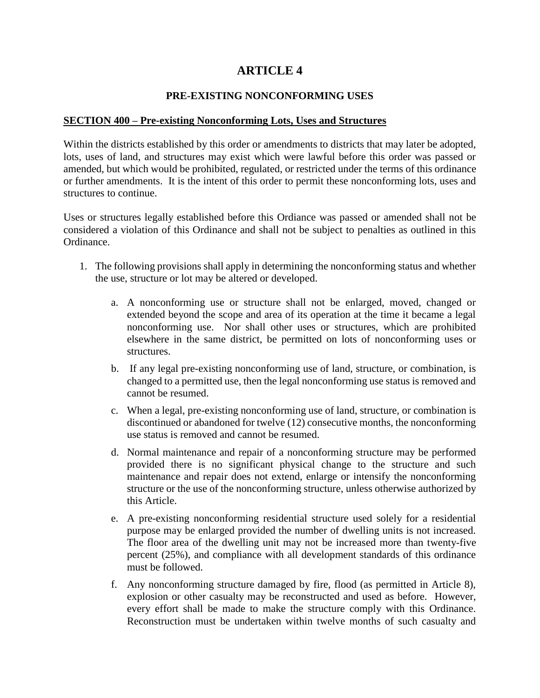# **ARTICLE 4**

#### **PRE-EXISTING NONCONFORMING USES**

#### **SECTION 400 – Pre-existing Nonconforming Lots, Uses and Structures**

Within the districts established by this order or amendments to districts that may later be adopted, lots, uses of land, and structures may exist which were lawful before this order was passed or amended, but which would be prohibited, regulated, or restricted under the terms of this ordinance or further amendments. It is the intent of this order to permit these nonconforming lots, uses and structures to continue.

Uses or structures legally established before this Ordiance was passed or amended shall not be considered a violation of this Ordinance and shall not be subject to penalties as outlined in this Ordinance.

- 1. The following provisions shall apply in determining the nonconforming status and whether the use, structure or lot may be altered or developed.
	- a. A nonconforming use or structure shall not be enlarged, moved, changed or extended beyond the scope and area of its operation at the time it became a legal nonconforming use. Nor shall other uses or structures, which are prohibited elsewhere in the same district, be permitted on lots of nonconforming uses or structures.
	- b. If any legal pre-existing nonconforming use of land, structure, or combination, is changed to a permitted use, then the legal nonconforming use status is removed and cannot be resumed.
	- c. When a legal, pre-existing nonconforming use of land, structure, or combination is discontinued or abandoned for twelve (12) consecutive months, the nonconforming use status is removed and cannot be resumed.
	- d. Normal maintenance and repair of a nonconforming structure may be performed provided there is no significant physical change to the structure and such maintenance and repair does not extend, enlarge or intensify the nonconforming structure or the use of the nonconforming structure, unless otherwise authorized by this Article.
	- e. A pre-existing nonconforming residential structure used solely for a residential purpose may be enlarged provided the number of dwelling units is not increased. The floor area of the dwelling unit may not be increased more than twenty-five percent (25%), and compliance with all development standards of this ordinance must be followed.
	- f. Any nonconforming structure damaged by fire, flood (as permitted in Article 8), explosion or other casualty may be reconstructed and used as before. However, every effort shall be made to make the structure comply with this Ordinance. Reconstruction must be undertaken within twelve months of such casualty and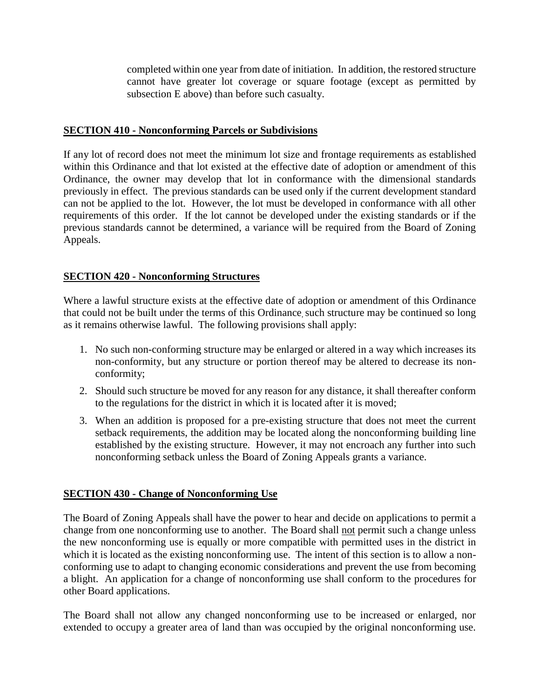completed within one year from date of initiation. In addition, the restored structure cannot have greater lot coverage or square footage (except as permitted by subsection E above) than before such casualty.

#### **SECTION 410 - Nonconforming Parcels or Subdivisions**

If any lot of record does not meet the minimum lot size and frontage requirements as established within this Ordinance and that lot existed at the effective date of adoption or amendment of this Ordinance, the owner may develop that lot in conformance with the dimensional standards previously in effect. The previous standards can be used only if the current development standard can not be applied to the lot. However, the lot must be developed in conformance with all other requirements of this order. If the lot cannot be developed under the existing standards or if the previous standards cannot be determined, a variance will be required from the Board of Zoning Appeals.

# **SECTION 420 - Nonconforming Structures**

Where a lawful structure exists at the effective date of adoption or amendment of this Ordinance that could not be built under the terms of this Ordinance, such structure may be continued so long as it remains otherwise lawful. The following provisions shall apply:

- 1. No such non-conforming structure may be enlarged or altered in a way which increases its non-conformity, but any structure or portion thereof may be altered to decrease its nonconformity;
- 2. Should such structure be moved for any reason for any distance, it shall thereafter conform to the regulations for the district in which it is located after it is moved;
- 3. When an addition is proposed for a pre-existing structure that does not meet the current setback requirements, the addition may be located along the nonconforming building line established by the existing structure. However, it may not encroach any further into such nonconforming setback unless the Board of Zoning Appeals grants a variance.

# **SECTION 430 - Change of Nonconforming Use**

The Board of Zoning Appeals shall have the power to hear and decide on applications to permit a change from one nonconforming use to another. The Board shall not permit such a change unless the new nonconforming use is equally or more compatible with permitted uses in the district in which it is located as the existing nonconforming use. The intent of this section is to allow a nonconforming use to adapt to changing economic considerations and prevent the use from becoming a blight. An application for a change of nonconforming use shall conform to the procedures for other Board applications.

The Board shall not allow any changed nonconforming use to be increased or enlarged, nor extended to occupy a greater area of land than was occupied by the original nonconforming use.